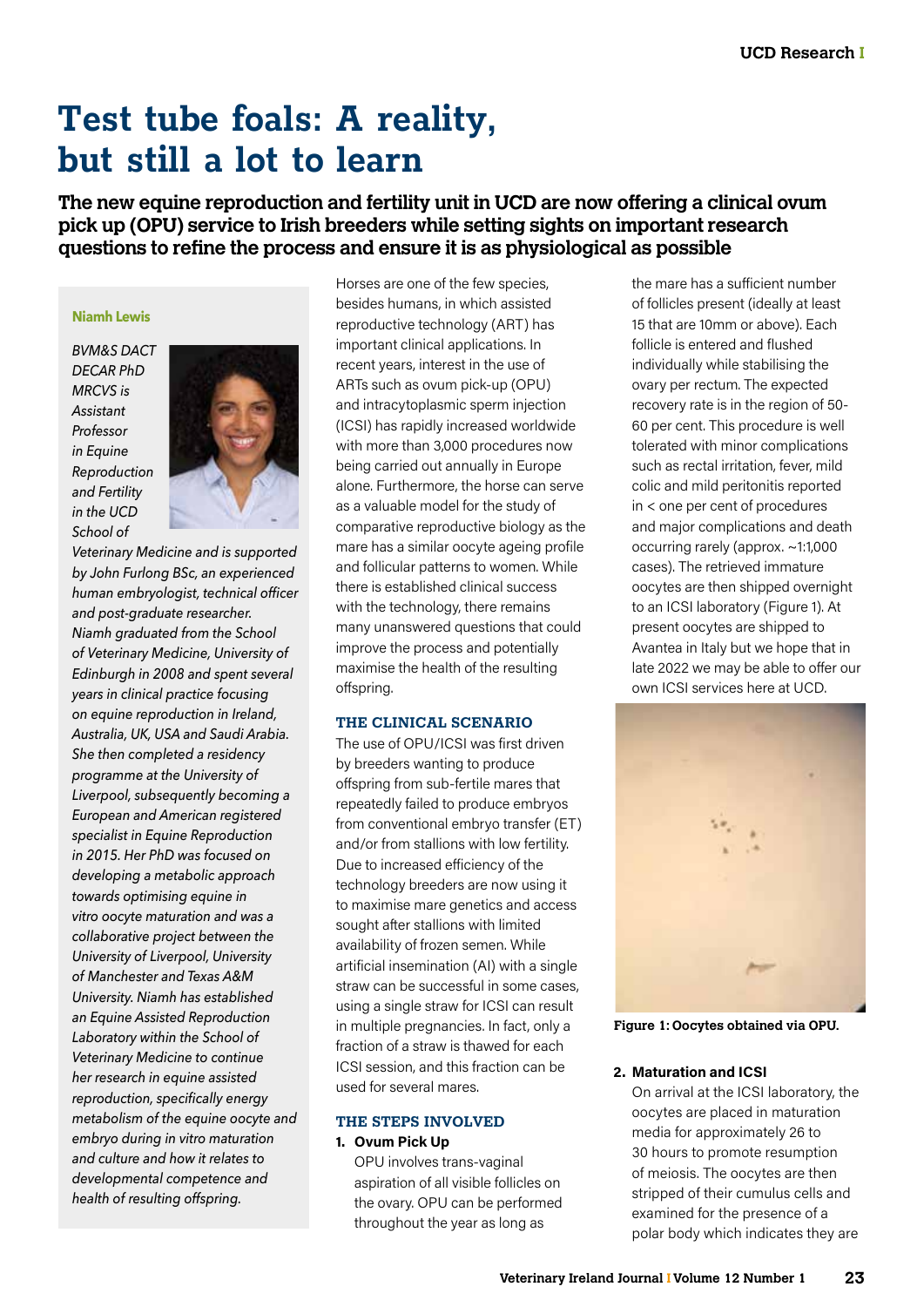# **Test tube foals: A reality, but still a lot to learn**

**The new equine reproduction and fertility unit in UCD are now offering a clinical ovum pick up (OPU) service to Irish breeders while setting sights on important research questions to refine the process and ensure it is as physiological as possible**

## **Niamh Lewis**

*BVM&S DACT DECAR PhD MRCVS is Assistant Professor in Equine Reproduction and Fertility in the UCD School of* 



*Veterinary Medicine and is supported by John Furlong BSc, an experienced human embryologist, technical officer and post-graduate researcher. Niamh graduated from the School of Veterinary Medicine, University of Edinburgh in 2008 and spent several years in clinical practice focusing on equine reproduction in Ireland, Australia, UK, USA and Saudi Arabia. She then completed a residency programme at the University of Liverpool, subsequently becoming a European and American registered specialist in Equine Reproduction in 2015. Her PhD was focused on developing a metabolic approach towards optimising equine in vitro oocyte maturation and was a collaborative project between the University of Liverpool, University of Manchester and Texas A&M University. Niamh has established an Equine Assisted Reproduction Laboratory within the School of Veterinary Medicine to continue her research in equine assisted reproduction, specifically energy metabolism of the equine oocyte and embryo during in vitro maturation and culture and how it relates to developmental competence and health of resulting offspring.*

Horses are one of the few species, besides humans, in which assisted reproductive technology (ART) has important clinical applications. In recent years, interest in the use of ARTs such as ovum pick-up (OPU) and intracytoplasmic sperm injection (ICSI) has rapidly increased worldwide with more than 3,000 procedures now being carried out annually in Europe alone. Furthermore, the horse can serve as a valuable model for the study of comparative reproductive biology as the mare has a similar oocyte ageing profile and follicular patterns to women. While there is established clinical success with the technology, there remains many unanswered questions that could improve the process and potentially maximise the health of the resulting offspring.

## **THE CLINICAL SCENARIO**

The use of OPU/ICSI was first driven by breeders wanting to produce offspring from sub-fertile mares that repeatedly failed to produce embryos from conventional embryo transfer (ET) and/or from stallions with low fertility. Due to increased efficiency of the technology breeders are now using it to maximise mare genetics and access sought after stallions with limited availability of frozen semen. While artificial insemination (AI) with a single straw can be successful in some cases, using a single straw for ICSI can result in multiple pregnancies. In fact, only a fraction of a straw is thawed for each ICSI session, and this fraction can be used for several mares.

# **THE STEPS INVOLVED 1. Ovum Pick Up**

OPU involves trans-vaginal aspiration of all visible follicles on the ovary. OPU can be performed throughout the year as long as

the mare has a sufficient number of follicles present (ideally at least 15 that are 10mm or above). Each follicle is entered and flushed individually while stabilising the ovary per rectum. The expected recovery rate is in the region of 50- 60 per cent. This procedure is well tolerated with minor complications such as rectal irritation, fever, mild colic and mild peritonitis reported in < one per cent of procedures and major complications and death occurring rarely (approx. ~1:1,000 cases). The retrieved immature oocytes are then shipped overnight to an ICSI laboratory (Figure 1). At present oocytes are shipped to Avantea in Italy but we hope that in late 2022 we may be able to offer our own ICSI services here at UCD.



**Figure 1: Oocytes obtained via OPU.**

#### **2. Maturation and ICSI**

On arrival at the ICSI laboratory, the oocytes are placed in maturation media for approximately 26 to 30 hours to promote resumption of meiosis. The oocytes are then stripped of their cumulus cells and examined for the presence of a polar body which indicates they are